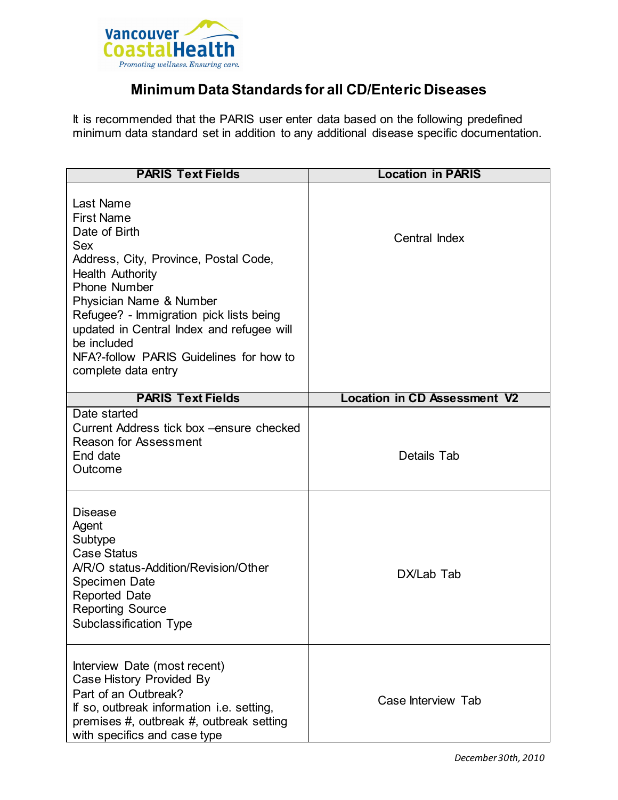

## **Minimum Data Standards for all CD/Enteric Diseases**

It is recommended that the PARIS user enter data based on the following predefined minimum data standard set in addition to any additional disease specific documentation.

| <b>PARIS Text Fields</b>                                                                                                                                                                                                                                                                                                                              | <b>Location in PARIS</b>            |
|-------------------------------------------------------------------------------------------------------------------------------------------------------------------------------------------------------------------------------------------------------------------------------------------------------------------------------------------------------|-------------------------------------|
| Last Name<br><b>First Name</b><br>Date of Birth<br>Sex<br>Address, City, Province, Postal Code,<br><b>Health Authority</b><br><b>Phone Number</b><br>Physician Name & Number<br>Refugee? - Immigration pick lists being<br>updated in Central Index and refugee will<br>be included<br>NFA?-follow PARIS Guidelines for how to<br>complete data entry | Central Index                       |
| <b>PARIS Text Fields</b>                                                                                                                                                                                                                                                                                                                              | <b>Location in CD Assessment V2</b> |
| Date started<br>Current Address tick box - ensure checked<br><b>Reason for Assessment</b><br>End date<br>Outcome                                                                                                                                                                                                                                      | Details Tab                         |
| Disease<br>Agent<br>Subtype<br><b>Case Status</b><br>A/R/O status-Addition/Revision/Other<br><b>Specimen Date</b><br><b>Reported Date</b><br><b>Reporting Source</b><br><b>Subclassification Type</b>                                                                                                                                                 | DX/Lab Tab                          |
| Interview Date (most recent)<br>Case History Provided By<br>Part of an Outbreak?<br>If so, outbreak information i.e. setting,<br>premises #, outbreak #, outbreak setting<br>with specifics and case type                                                                                                                                             | Case Interview Tab                  |